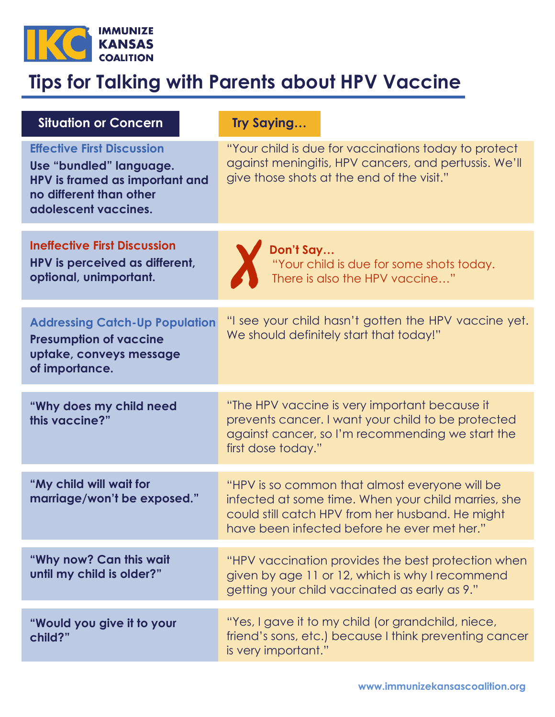

## **Tips for Talking with Parents about HPV Vaccine**

| <b>Situation or Concern</b>                                                                                                                       | <b>Try Saying</b>                                                                                                                                                                                        |
|---------------------------------------------------------------------------------------------------------------------------------------------------|----------------------------------------------------------------------------------------------------------------------------------------------------------------------------------------------------------|
| <b>Effective First Discussion</b><br>Use "bundled" language.<br>HPV is framed as important and<br>no different than other<br>adolescent vaccines. | "Your child is due for vaccinations today to protect<br>against meningitis, HPV cancers, and pertussis. We'll<br>give those shots at the end of the visit."                                              |
| <b>Ineffective First Discussion</b><br>HPV is perceived as different,<br>optional, unimportant.                                                   | Don't Say<br>"Your child is due for some shots today.<br>There is also the HPV vaccine"                                                                                                                  |
| <b>Addressing Catch-Up Population</b><br><b>Presumption of vaccine</b><br>uptake, conveys message<br>of importance.                               | "I see your child hasn't gotten the HPV vaccine yet.<br>We should definitely start that today!"                                                                                                          |
| "Why does my child need<br>this vaccine?"                                                                                                         | "The HPV vaccine is very important because it<br>prevents cancer. I want your child to be protected<br>against cancer, so I'm recommending we start the<br>first dose today."                            |
| "My child will wait for<br>marriage/won't be exposed."                                                                                            | "HPV is so common that almost everyone will be<br>infected at some time. When your child marries, she<br>could still catch HPV from her husband. He might<br>have been infected before he ever met her." |
| "Why now? Can this wait<br>until my child is older?"                                                                                              | "HPV vaccination provides the best protection when<br>given by age 11 or 12, which is why I recommend<br>getting your child vaccinated as early as 9."                                                   |
| "Would you give it to your<br>child?"                                                                                                             | "Yes, I gave it to my child (or grandchild, niece,<br>friend's sons, etc.) because I think preventing cancer<br>is very important."                                                                      |